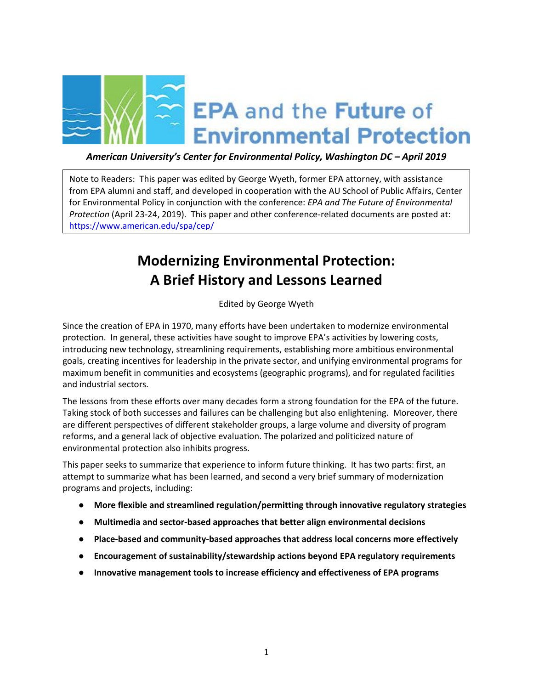

# *American University's Center for Environmental Policy, Washington DC – April 2019*

Note to Readers: This paper was edited by George Wyeth, former EPA attorney, with assistance from EPA alumni and staff, and developed in cooperation with the AU School of Public Affairs, Center for Environmental Policy in conjunction with the conference: *EPA and The Future of Environmental Protection* (April 23-24, 2019). This paper and other conference-related documents are posted at: <https://www.american.edu/spa/cep/>

# **Modernizing Environmental Protection: A Brief History and Lessons Learned**

Edited by George Wyeth

Since the creation of EPA in 1970, many efforts have been undertaken to modernize environmental protection. In general, these activities have sought to improve EPA's activities by lowering costs, introducing new technology, streamlining requirements, establishing more ambitious environmental goals, creating incentives for leadership in the private sector, and unifying environmental programs for maximum benefit in communities and ecosystems (geographic programs), and for regulated facilities and industrial sectors.

The lessons from these efforts over many decades form a strong foundation for the EPA of the future. Taking stock of both successes and failures can be challenging but also enlightening. Moreover, there are different perspectives of different stakeholder groups, a large volume and diversity of program reforms, and a general lack of objective evaluation. The polarized and politicized nature of environmental protection also inhibits progress.

This paper seeks to summarize that experience to inform future thinking. It has two parts: first, an attempt to summarize what has been learned, and second a very brief summary of modernization programs and projects, including:

- **More flexible and streamlined regulation/permitting through innovative regulatory strategies**
- **Multimedia and sector-based approaches that better align environmental decisions**
- **Place-based and community-based approaches that address local concerns more effectively**
- **Encouragement of sustainability/stewardship actions beyond EPA regulatory requirements**
- **Innovative management tools to increase efficiency and effectiveness of EPA programs**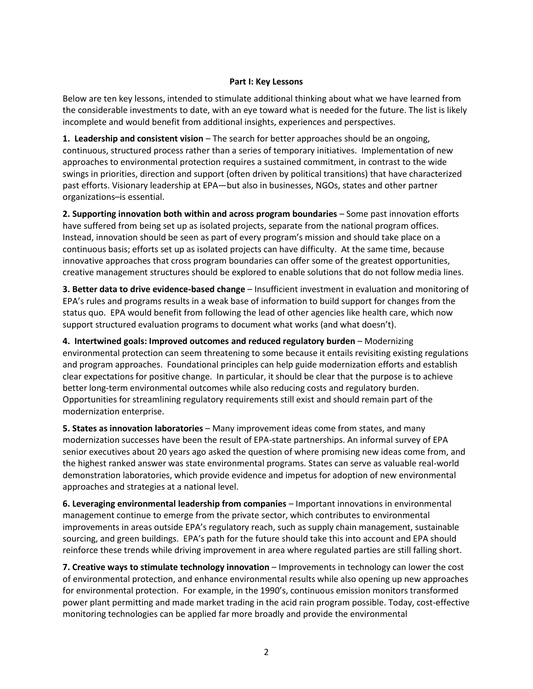#### **Part I: Key Lessons**

Below are ten key lessons, intended to stimulate additional thinking about what we have learned from the considerable investments to date, with an eye toward what is needed for the future. The list is likely incomplete and would benefit from additional insights, experiences and perspectives.

**1. Leadership and consistent vision** – The search for better approaches should be an ongoing, continuous, structured process rather than a series of temporary initiatives. Implementation of new approaches to environmental protection requires a sustained commitment, in contrast to the wide swings in priorities, direction and support (often driven by political transitions) that have characterized past efforts. Visionary leadership at EPA—but also in businesses, NGOs, states and other partner organizations–is essential.

**2. Supporting innovation both within and across program boundaries** – Some past innovation efforts have suffered from being set up as isolated projects, separate from the national program offices. Instead, innovation should be seen as part of every program's mission and should take place on a continuous basis; efforts set up as isolated projects can have difficulty. At the same time, because innovative approaches that cross program boundaries can offer some of the greatest opportunities, creative management structures should be explored to enable solutions that do not follow media lines.

**3. Better data to drive evidence-based change** – Insufficient investment in evaluation and monitoring of EPA's rules and programs results in a weak base of information to build support for changes from the status quo. EPA would benefit from following the lead of other agencies like health care, which now support structured evaluation programs to document what works (and what doesn't).

**4. Intertwined goals: Improved outcomes and reduced regulatory burden** – Modernizing environmental protection can seem threatening to some because it entails revisiting existing regulations and program approaches. Foundational principles can help guide modernization efforts and establish clear expectations for positive change. In particular, it should be clear that the purpose is to achieve better long-term environmental outcomes while also reducing costs and regulatory burden. Opportunities for streamlining regulatory requirements still exist and should remain part of the modernization enterprise.

**5. States as innovation laboratories** – Many improvement ideas come from states, and many modernization successes have been the result of EPA-state partnerships. An informal survey of EPA senior executives about 20 years ago asked the question of where promising new ideas come from, and the highest ranked answer was state environmental programs. States can serve as valuable real-world demonstration laboratories, which provide evidence and impetus for adoption of new environmental approaches and strategies at a national level.

**6. Leveraging environmental leadership from companies** – Important innovations in environmental management continue to emerge from the private sector, which contributes to environmental improvements in areas outside EPA's regulatory reach, such as supply chain management, sustainable sourcing, and green buildings. EPA's path for the future should take this into account and EPA should reinforce these trends while driving improvement in area where regulated parties are still falling short.

**7. Creative ways to stimulate technology innovation** – Improvements in technology can lower the cost of environmental protection, and enhance environmental results while also opening up new approaches for environmental protection. For example, in the 1990's, continuous emission monitors transformed power plant permitting and made market trading in the acid rain program possible. Today, cost-effective monitoring technologies can be applied far more broadly and provide the environmental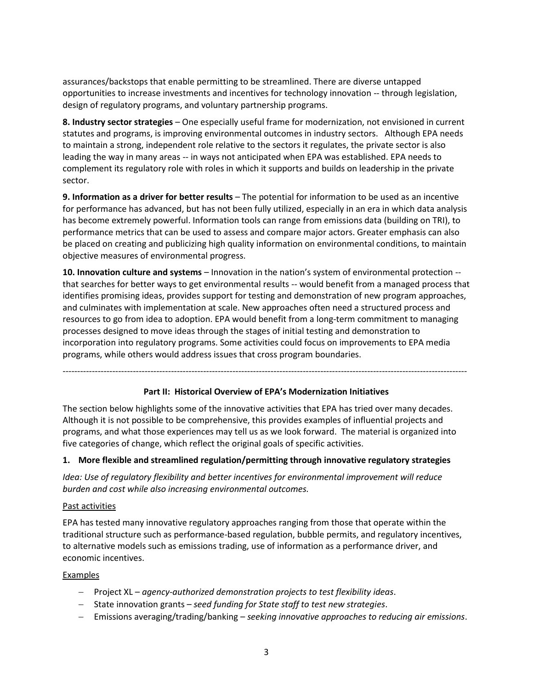assurances/backstops that enable permitting to be streamlined. There are diverse untapped opportunities to increase investments and incentives for technology innovation -- through legislation, design of regulatory programs, and voluntary partnership programs.

**8. Industry sector strategies** – One especially useful frame for modernization, not envisioned in current statutes and programs, is improving environmental outcomes in industry sectors. Although EPA needs to maintain a strong, independent role relative to the sectors it regulates, the private sector is also leading the way in many areas -- in ways not anticipated when EPA was established. EPA needs to complement its regulatory role with roles in which it supports and builds on leadership in the private sector.

**9. Information as a driver for better results** – The potential for information to be used as an incentive for performance has advanced, but has not been fully utilized, especially in an era in which data analysis has become extremely powerful. Information tools can range from emissions data (building on TRI), to performance metrics that can be used to assess and compare major actors. Greater emphasis can also be placed on creating and publicizing high quality information on environmental conditions, to maintain objective measures of environmental progress.

**10. Innovation culture and systems** – Innovation in the nation's system of environmental protection - that searches for better ways to get environmental results -- would benefit from a managed process that identifies promising ideas, provides support for testing and demonstration of new program approaches, and culminates with implementation at scale. New approaches often need a structured process and resources to go from idea to adoption. EPA would benefit from a long-term commitment to managing processes designed to move ideas through the stages of initial testing and demonstration to incorporation into regulatory programs. Some activities could focus on improvements to EPA media programs, while others would address issues that cross program boundaries.

------------------------------------------------------------------------------------------------------------------------------------------

#### **Part II: Historical Overview of EPA's Modernization Initiatives**

The section below highlights some of the innovative activities that EPA has tried over many decades. Although it is not possible to be comprehensive, this provides examples of influential projects and programs, and what those experiences may tell us as we look forward. The material is organized into five categories of change, which reflect the original goals of specific activities.

#### **1. More flexible and streamlined regulation/permitting through innovative regulatory strategies**

*Idea: Use of regulatory flexibility and better incentives for environmental improvement will reduce burden and cost while also increasing environmental outcomes.* 

#### Past activities

EPA has tested many innovative regulatory approaches ranging from those that operate within the traditional structure such as performance-based regulation, bubble permits, and regulatory incentives, to alternative models such as emissions trading, use of information as a performance driver, and economic incentives.

#### Examples

- − Project XL *agency-authorized demonstration projects to test flexibility ideas*.
- − State innovation grants *seed funding for State staff to test new strategies*.
- − Emissions averaging/trading/banking *seeking innovative approaches to reducing air emissions*.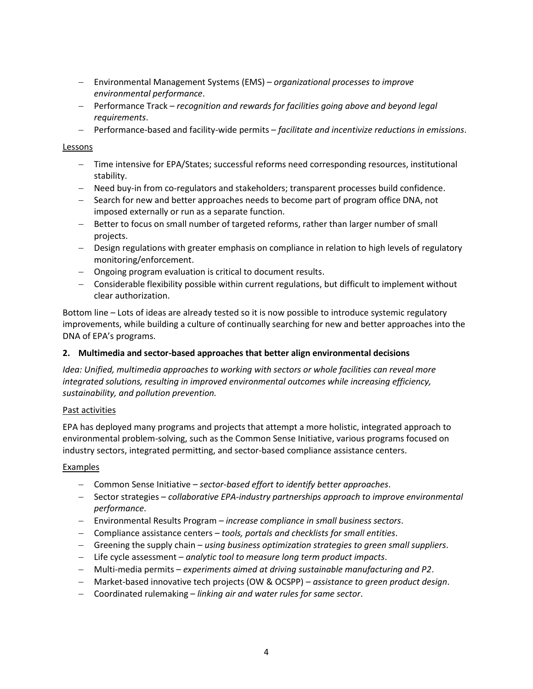- − Environmental Management Systems (EMS) *organizational processes to improve environmental performance*.
- − Performance Track *recognition and rewards for facilities going above and beyond legal requirements*.
- − Performance-based and facility-wide permits *facilitate and incentivize reductions in emissions*.

#### Lessons

- − Time intensive for EPA/States; successful reforms need corresponding resources, institutional stability.
- − Need buy-in from co-regulators and stakeholders; transparent processes build confidence.
- − Search for new and better approaches needs to become part of program office DNA, not imposed externally or run as a separate function.
- − Better to focus on small number of targeted reforms, rather than larger number of small projects.
- − Design regulations with greater emphasis on compliance in relation to high levels of regulatory monitoring/enforcement.
- − Ongoing program evaluation is critical to document results.
- − Considerable flexibility possible within current regulations, but difficult to implement without clear authorization.

Bottom line – Lots of ideas are already tested so it is now possible to introduce systemic regulatory improvements, while building a culture of continually searching for new and better approaches into the DNA of EPA's programs.

# **2. Multimedia and sector-based approaches that better align environmental decisions**

*Idea: Unified, multimedia approaches to working with sectors or whole facilities can reveal more integrated solutions, resulting in improved environmental outcomes while increasing efficiency, sustainability, and pollution prevention.*

#### Past activities

EPA has deployed many programs and projects that attempt a more holistic, integrated approach to environmental problem-solving, such as the Common Sense Initiative, various programs focused on industry sectors, integrated permitting, and sector-based compliance assistance centers.

# Examples

- − Common Sense Initiative *sector-based effort to identify better approaches*.
- − Sector strategies *collaborative EPA-industry partnerships approach to improve environmental performance*.
- − Environmental Results Program *increase compliance in small business sectors*.
- − Compliance assistance centers *tools, portals and checklists for small entities*.
- − Greening the supply chain *using business optimization strategies to green small suppliers*.
- − Life cycle assessment *analytic tool to measure long term product impacts*.
- − Multi-media permits *experiments aimed at driving sustainable manufacturing and P2*.
- − Market-based innovative tech projects (OW & OCSPP) *assistance to green product design*.
- − Coordinated rulemaking *linking air and water rules for same sector*.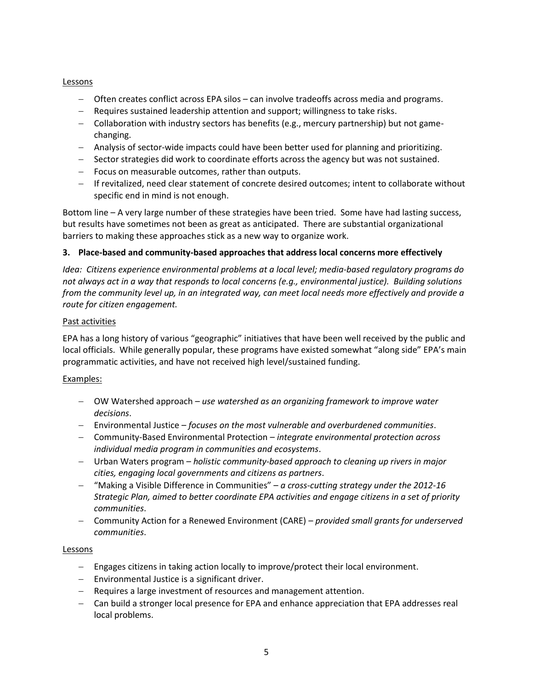### Lessons

- − Often creates conflict across EPA silos can involve tradeoffs across media and programs.
- − Requires sustained leadership attention and support; willingness to take risks.
- − Collaboration with industry sectors has benefits (e.g., mercury partnership) but not gamechanging.
- − Analysis of sector-wide impacts could have been better used for planning and prioritizing.
- − Sector strategies did work to coordinate efforts across the agency but was not sustained.
- − Focus on measurable outcomes, rather than outputs.
- − If revitalized, need clear statement of concrete desired outcomes; intent to collaborate without specific end in mind is not enough.

Bottom line – A very large number of these strategies have been tried. Some have had lasting success, but results have sometimes not been as great as anticipated. There are substantial organizational barriers to making these approaches stick as a new way to organize work.

# **3. Place-based and community-based approaches that address local concerns more effectively**

*Idea: Citizens experience environmental problems at a local level; media-based regulatory programs do not always act in a way that responds to local concerns (e.g., environmental justice). Building solutions from the community level up, in an integrated way, can meet local needs more effectively and provide a route for citizen engagement.*

# Past activities

EPA has a long history of various "geographic" initiatives that have been well received by the public and local officials. While generally popular, these programs have existed somewhat "along side" EPA's main programmatic activities, and have not received high level/sustained funding.

# Examples:

- − OW Watershed approach *use watershed as an organizing framework to improve water decisions*.
- − Environmental Justice *focuses on the most vulnerable and overburdened communities*.
- − Community-Based Environmental Protection *integrate environmental protection across individual media program in communities and ecosystems*.
- − Urban Waters program *holistic community-based approach to cleaning up rivers in major cities, engaging local governments and citizens as partners*.
- − "Making a Visible Difference in Communities" *a cross-cutting strategy under the 2012-16 Strategic Plan, aimed to better coordinate EPA activities and engage citizens in a set of priority communities*.
- − Community Action for a Renewed Environment (CARE) *provided small grants for underserved communities*.

# Lessons

- − Engages citizens in taking action locally to improve/protect their local environment.
- − Environmental Justice is a significant driver.
- − Requires a large investment of resources and management attention.
- − Can build a stronger local presence for EPA and enhance appreciation that EPA addresses real local problems.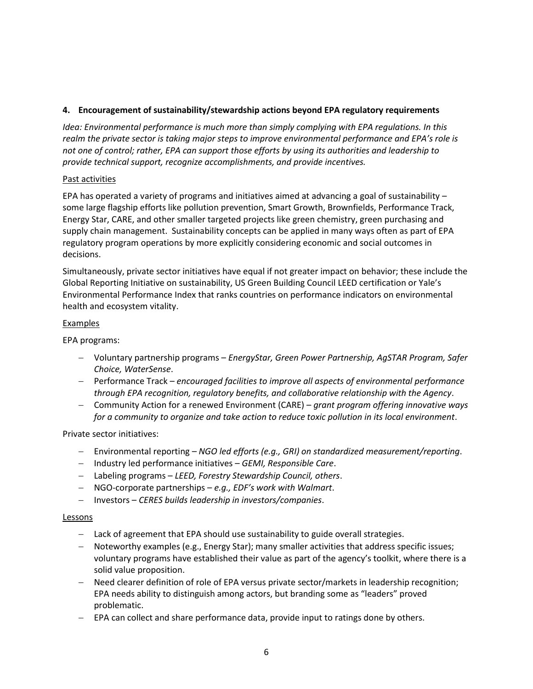# **4. Encouragement of sustainability/stewardship actions beyond EPA regulatory requirements**

*Idea: Environmental performance is much more than simply complying with EPA regulations. In this realm the private sector is taking major steps to improve environmental performance and EPA's role is not one of control; rather, EPA can support those efforts by using its authorities and leadership to provide technical support, recognize accomplishments, and provide incentives.* 

## Past activities

EPA has operated a variety of programs and initiatives aimed at advancing a goal of sustainability  $$ some large flagship efforts like pollution prevention, Smart Growth, Brownfields, Performance Track, Energy Star, CARE, and other smaller targeted projects like green chemistry, green purchasing and supply chain management. Sustainability concepts can be applied in many ways often as part of EPA regulatory program operations by more explicitly considering economic and social outcomes in decisions.

Simultaneously, private sector initiatives have equal if not greater impact on behavior; these include the Global Reporting Initiative on sustainability, US Green Building Council LEED certification or Yale's Environmental Performance Index that ranks countries on performance indicators on environmental health and ecosystem vitality.

## Examples

EPA programs:

- − Voluntary partnership programs *EnergyStar, Green Power Partnership, AgSTAR Program, Safer Choice, WaterSense*.
- − Performance Track *encouraged facilities to improve all aspects of environmental performance through EPA recognition, regulatory benefits, and collaborative relationship with the Agency*.
- − Community Action for a renewed Environment (CARE) *grant program offering innovative ways for a community to organize and take action to reduce toxic pollution in its local environment*.

Private sector initiatives:

- − Environmental reporting *NGO led efforts (e.g., GRI) on standardized measurement/reporting*.
- − Industry led performance initiatives *GEMI, Responsible Care*.
- − Labeling programs *LEED, Forestry Stewardship Council, others*.
- − NGO-corporate partnerships *e.g., EDF's work with Walmart*.
- − Investors *CERES builds leadership in investors/companies*.

#### **Lessons**

- − Lack of agreement that EPA should use sustainability to guide overall strategies.
- − Noteworthy examples (e.g., Energy Star); many smaller activities that address specific issues; voluntary programs have established their value as part of the agency's toolkit, where there is a solid value proposition.
- − Need clearer definition of role of EPA versus private sector/markets in leadership recognition; EPA needs ability to distinguish among actors, but branding some as "leaders" proved problematic.
- − EPA can collect and share performance data, provide input to ratings done by others.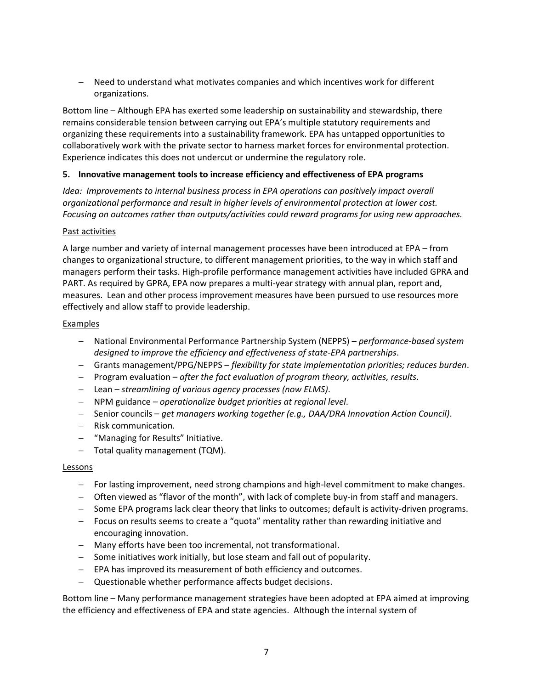− Need to understand what motivates companies and which incentives work for different organizations.

Bottom line – Although EPA has exerted some leadership on sustainability and stewardship, there remains considerable tension between carrying out EPA's multiple statutory requirements and organizing these requirements into a sustainability framework. EPA has untapped opportunities to collaboratively work with the private sector to harness market forces for environmental protection. Experience indicates this does not undercut or undermine the regulatory role.

## **5. Innovative management tools to increase efficiency and effectiveness of EPA programs**

*Idea: Improvements to internal business process in EPA operations can positively impact overall organizational performance and result in higher levels of environmental protection at lower cost. Focusing on outcomes rather than outputs/activities could reward programs for using new approaches.*

#### Past activities

A large number and variety of internal management processes have been introduced at EPA – from changes to organizational structure, to different management priorities, to the way in which staff and managers perform their tasks. High-profile performance management activities have included GPRA and PART. As required by GPRA, EPA now prepares a multi-year strategy with annual plan, report and, measures. Lean and other process improvement measures have been pursued to use resources more effectively and allow staff to provide leadership.

#### Examples

- − National Environmental Performance Partnership System (NEPPS) *performance-based system designed to improve the efficiency and effectiveness of state-EPA partnerships*.
- − Grants management/PPG/NEPPS *flexibility for state implementation priorities; reduces burden*.
- − Program evaluation *after the fact evaluation of program theory, activities, results*.
- − Lean *streamlining of various agency processes (now ELMS)*.
- − NPM guidance *operationalize budget priorities at regional level*.
- − Senior councils *get managers working together (e.g., DAA/DRA Innovation Action Council)*.
- − Risk communication.
- − "Managing for Results" Initiative.
- − Total quality management (TQM).

#### Lessons

- − For lasting improvement, need strong champions and high-level commitment to make changes.
- − Often viewed as "flavor of the month", with lack of complete buy-in from staff and managers.
- − Some EPA programs lack clear theory that links to outcomes; default is activity-driven programs.
- − Focus on results seems to create a "quota" mentality rather than rewarding initiative and encouraging innovation.
- − Many efforts have been too incremental, not transformational.
- − Some initiatives work initially, but lose steam and fall out of popularity.
- − EPA has improved its measurement of both efficiency and outcomes.
- − Questionable whether performance affects budget decisions.

Bottom line – Many performance management strategies have been adopted at EPA aimed at improving the efficiency and effectiveness of EPA and state agencies. Although the internal system of